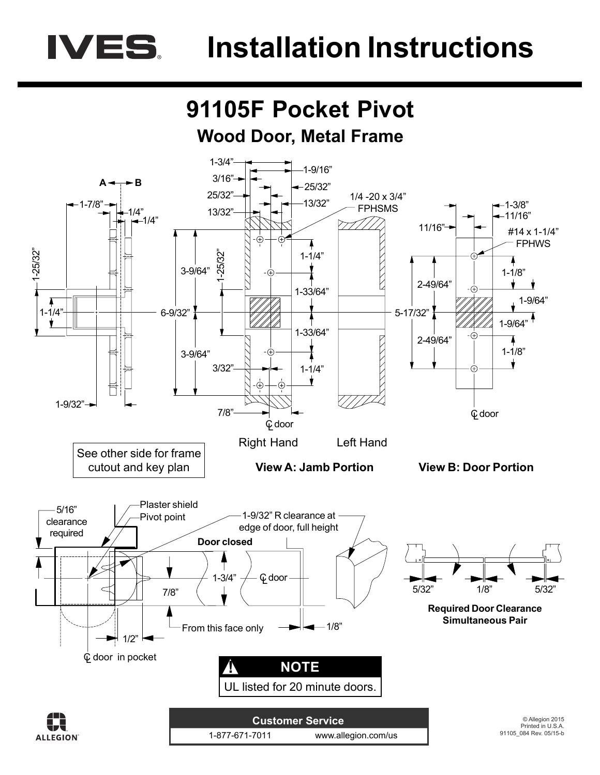## **IVES** Installation Instructions

## **91105F Pocket Pivot Wood Door, Metal Frame**



**ALLEGION** 

1-877-671-7011 www.allegion.com/us

Printed in U.S.A. 91105\_084 Rev. 05/15-b